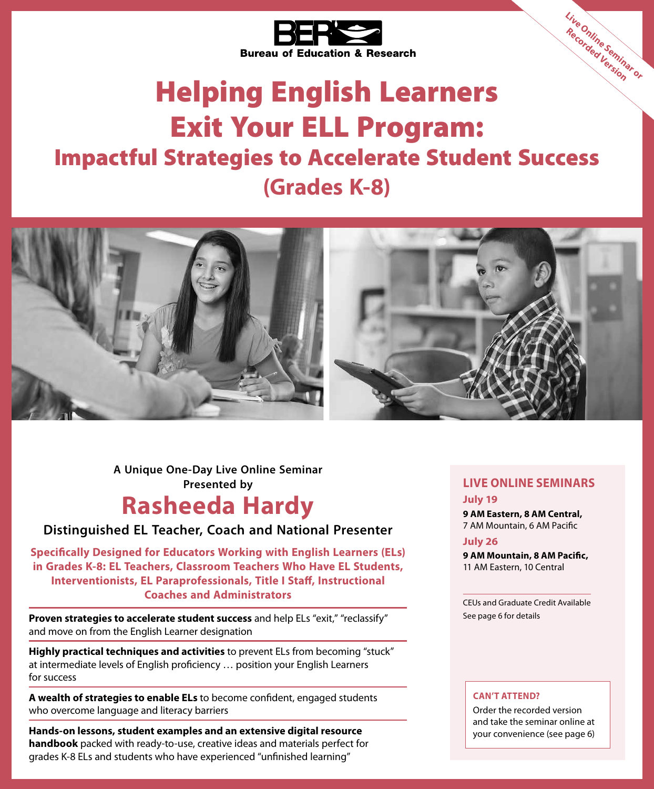

# Helping English Learners Exit Your ELL Program: Impactful Strategies to Accelerate Student Success **(Grades K-8) Live Online Seminar or Recorded Version**



**Presented by A Unique One-Day Live Online Seminar**

## **Rasheeda Hardy**

## **Distinguished EL Teacher, Coach and National Presenter**

**Specifically Designed for Educators Working with English Learners (ELs) in Grades K-8: EL Teachers, Classroom Teachers Who Have EL Students, Interventionists, EL Paraprofessionals, Title I Staff, Instructional Coaches and Administrators**

**Proven strategies to accelerate student success** and help ELs "exit," "reclassify" and move on from the English Learner designation

**Highly practical techniques and activities** to prevent ELs from becoming "stuck" at intermediate levels of English proficiency … position your English Learners for success

**A wealth of strategies to enable ELs** to become confident, engaged students who overcome language and literacy barriers

**Hands-on lessons, student examples and an extensive digital resource handbook** packed with ready-to-use, creative ideas and materials perfect for grades K-8 ELs and students who have experienced "unfinished learning"

### **LIVE ONLINE SEMINARS July 19**

**9 AM Eastern, 8 AM Central,** 7 AM Mountain, 6 AM Pacific

**July 26**

**9 AM Mountain, 8 AM Pacific,**  11 AM Eastern, 10 Central

CEUs and Graduate Credit Available See page 6 for details

### **CAN'T ATTEND?**

Order the recorded version and take the seminar online at your convenience (see page 6)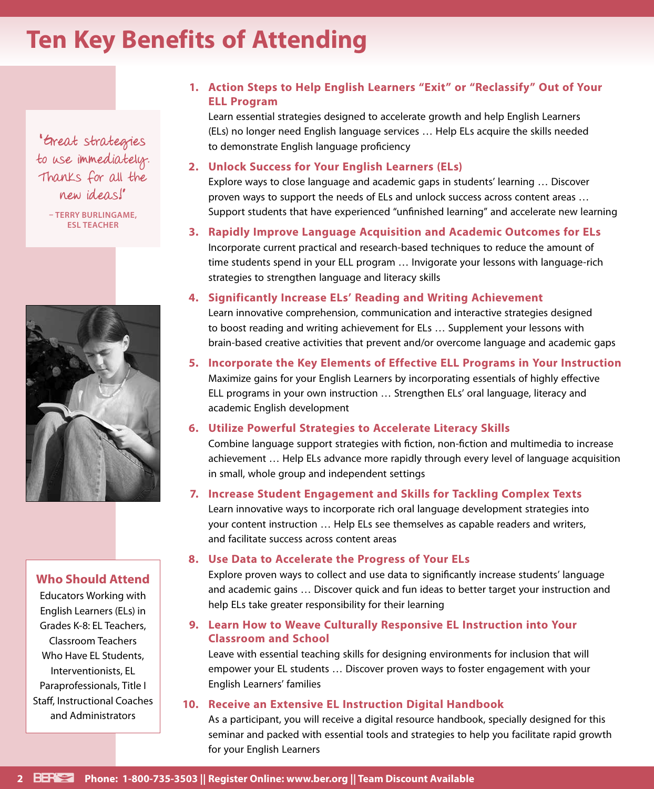## **Ten Key Benefits of Attending**

" Great strategies to use immediately. Thanks for all the new ideas!"

**– TERRY BURLINGAME, ESL TEACHER**



### **Who Should Attend**

Educators Working with English Learners (ELs) in Grades K-8: EL Teachers, Classroom Teachers Who Have EL Students, Interventionists, EL Paraprofessionals, Title I Staff, Instructional Coaches and Administrators

## **1. Action Steps to Help English Learners "Exit" or "Reclassify" Out of Your ELL Program**

Learn essential strategies designed to accelerate growth and help English Learners (ELs) no longer need English language services … Help ELs acquire the skills needed to demonstrate English language proficiency

#### **2. Unlock Success for Your English Learners (ELs)**

Explore ways to close language and academic gaps in students' learning … Discover proven ways to support the needs of ELs and unlock success across content areas … Support students that have experienced "unfinished learning" and accelerate new learning

**3. Rapidly Improve Language Acquisition and Academic Outcomes for ELs** Incorporate current practical and research-based techniques to reduce the amount of time students spend in your ELL program … Invigorate your lessons with language-rich strategies to strengthen language and literacy skills

### **4. Significantly Increase ELs' Reading and Writing Achievement**

Learn innovative comprehension, communication and interactive strategies designed to boost reading and writing achievement for ELs … Supplement your lessons with brain-based creative activities that prevent and/or overcome language and academic gaps

## **5. Incorporate the Key Elements of Effective ELL Programs in Your Instruction** Maximize gains for your English Learners by incorporating essentials of highly effective ELL programs in your own instruction … Strengthen ELs' oral language, literacy and academic English development

### **6. Utilize Powerful Strategies to Accelerate Literacy Skills**

Combine language support strategies with fiction, non-fiction and multimedia to increase achievement … Help ELs advance more rapidly through every level of language acquisition in small, whole group and independent settings

### **7. Increase Student Engagement and Skills for Tackling Complex Texts**

Learn innovative ways to incorporate rich oral language development strategies into your content instruction … Help ELs see themselves as capable readers and writers, and facilitate success across content areas

### **8. Use Data to Accelerate the Progress of Your ELs**

Explore proven ways to collect and use data to significantly increase students' language and academic gains … Discover quick and fun ideas to better target your instruction and help ELs take greater responsibility for their learning

## **9. Learn How to Weave Culturally Responsive EL Instruction into Your Classroom and School**

Leave with essential teaching skills for designing environments for inclusion that will empower your EL students … Discover proven ways to foster engagement with your English Learners' families

## **10. Receive an Extensive EL Instruction Digital Handbook**

As a participant, you will receive a digital resource handbook, specially designed for this seminar and packed with essential tools and strategies to help you facilitate rapid growth for your English Learners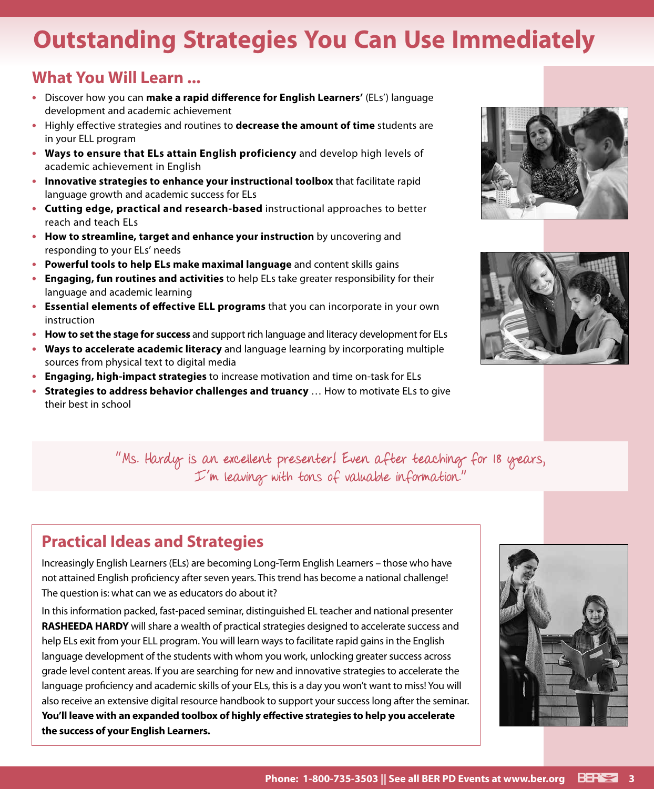## **Outstanding Strategies You Can Use Immediately**

## **What You Will Learn ...**

- **•** Discover how you can **make a rapid difference for English Learners'** (ELs') language development and academic achievement
- **•** Highly effective strategies and routines to **decrease the amount of time** students are in your ELL program
- **• Ways to ensure that ELs attain English proficiency** and develop high levels of academic achievement in English
- **• Innovative strategies to enhance your instructional toolbox** that facilitate rapid language growth and academic success for ELs
- **• Cutting edge, practical and research-based** instructional approaches to better reach and teach ELs
- **• How to streamline, target and enhance your instruction** by uncovering and responding to your ELs' needs
- **• Powerful tools to help ELs make maximal language** and content skills gains
- **• Engaging, fun routines and activities** to help ELs take greater responsibility for their language and academic learning
- **• Essential elements of effective ELL programs** that you can incorporate in your own instruction
- **• How to set the stage for success** and support rich language and literacy development for ELs
- **• Ways to accelerate academic literacy** and language learning by incorporating multiple sources from physical text to digital media
- **• Engaging, high-impact strategies** to increase motivation and time on-task for ELs
- **• Strategies to address behavior challenges and truancy** … How to motivate ELs to give their best in school





"Ms. Hardy is an excellent presenter! Even after teaching for 18 years, I'm leaving with tons of valuable information."

## **Practical Ideas and Strategies**

Increasingly English Learners (ELs) are becoming Long-Term English Learners – those who have not attained English proficiency after seven years. This trend has become a national challenge! The question is: what can we as educators do about it?

In this information packed, fast-paced seminar, distinguished EL teacher and national presenter **RASHEEDA HARDY** will share a wealth of practical strategies designed to accelerate success and help ELs exit from your ELL program. You will learn ways to facilitate rapid gains in the English language development of the students with whom you work, unlocking greater success across grade level content areas. If you are searching for new and innovative strategies to accelerate the language proficiency and academic skills of your ELs, this is a day you won't want to miss! You will also receive an extensive digital resource handbook to support your success long after the seminar. **You'll leave with an expanded toolbox of highly effective strategies to help you accelerate the success of your English Learners.**

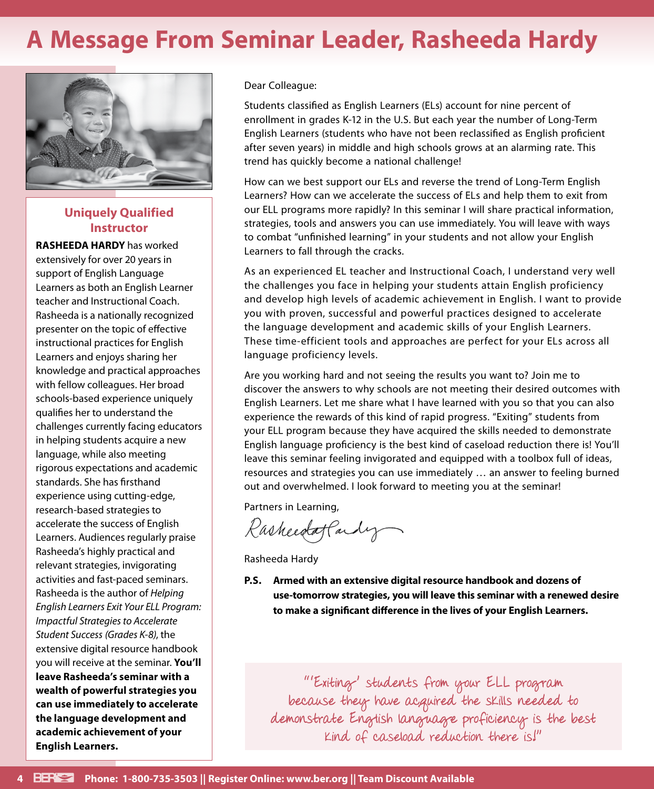## **A Message From Seminar Leader, Rasheeda Hardy**



## **Uniquely Qualified Instructor**

**RASHEEDA HARDY** has worked extensively for over 20 years in support of English Language Learners as both an English Learner teacher and Instructional Coach. Rasheeda is a nationally recognized presenter on the topic of effective instructional practices for English Learners and enjoys sharing her knowledge and practical approaches with fellow colleagues. Her broad schools-based experience uniquely qualifies her to understand the challenges currently facing educators in helping students acquire a new language, while also meeting rigorous expectations and academic standards. She has firsthand experience using cutting-edge, research-based strategies to accelerate the success of English Learners. Audiences regularly praise Rasheeda's highly practical and relevant strategies, invigorating activities and fast-paced seminars. Rasheeda is the author of *Helping English Learners Exit Your ELL Program: Impactful Strategies to Accelerate Student Success (Grades K-8)*, the extensive digital resource handbook you will receive at the seminar. **You'll leave Rasheeda's seminar with a wealth of powerful strategies you can use immediately to accelerate the language development and academic achievement of your English Learners.**

Dear Colleague:

Students classified as English Learners (ELs) account for nine percent of enrollment in grades K-12 in the U.S. But each year the number of Long-Term English Learners (students who have not been reclassified as English proficient after seven years) in middle and high schools grows at an alarming rate. This trend has quickly become a national challenge!

How can we best support our ELs and reverse the trend of Long-Term English Learners? How can we accelerate the success of ELs and help them to exit from our ELL programs more rapidly? In this seminar I will share practical information, strategies, tools and answers you can use immediately. You will leave with ways to combat "unfinished learning" in your students and not allow your English Learners to fall through the cracks.

As an experienced EL teacher and Instructional Coach, I understand very well the challenges you face in helping your students attain English proficiency and develop high levels of academic achievement in English. I want to provide you with proven, successful and powerful practices designed to accelerate the language development and academic skills of your English Learners. These time-efficient tools and approaches are perfect for your ELs across all language proficiency levels.

Are you working hard and not seeing the results you want to? Join me to discover the answers to why schools are not meeting their desired outcomes with English Learners. Let me share what I have learned with you so that you can also experience the rewards of this kind of rapid progress. "Exiting" students from your ELL program because they have acquired the skills needed to demonstrate English language proficiency is the best kind of caseload reduction there is! You'll leave this seminar feeling invigorated and equipped with a toolbox full of ideas, resources and strategies you can use immediately … an answer to feeling burned out and overwhelmed. I look forward to meeting you at the seminar!

Partners in Learning,

Rasheedaffacty

Rasheeda Hardy

**P.S. Armed with an extensive digital resource handbook and dozens of use-tomorrow strategies, you will leave this seminar with a renewed desire to make a significant difference in the lives of your English Learners.**

"'Exiting' students from your ELL program because they have acquired the skills needed to demonstrate English language proficiency is the best kind of caseload reduction there is!"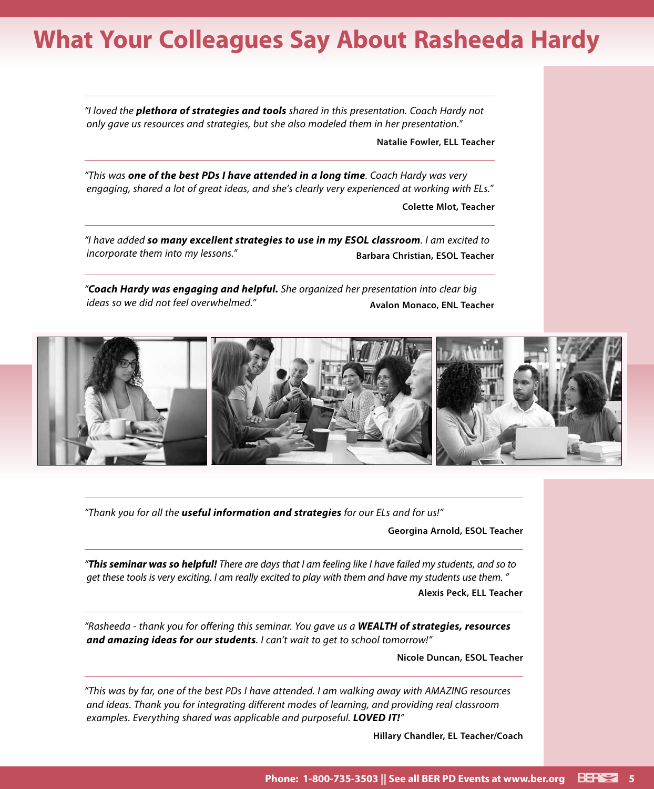## **What Your Colleagues Say About Rasheeda Hardy**

*"I loved the plethora of strategies and tools shared in this presentation. Coach Hardy not only gave us resources and strategies, but she also modeled them in her presentation."*

**Natalie Fowler, ELL Teacher**

*"This was one of the best PDs I have attended in a long time. Coach Hardy was very engaging, shared a lot of great ideas, and she's clearly very experienced at working with ELs."*

**Colette Mlot, Teacher**

*"I have added so many excellent strategies to use in my ESOL classroom. I am excited to incorporate them into my lessons."* **Barbara Christian, ESOL Teacher** 

*"Coach Hardy was engaging and helpful. She organized her presentation into clear big ideas so we did not feel overwhelmed."* **Avalon Monaco, ENL Teacher** 



*"Thank you for all the useful information and strategies for our ELs and for us!"*

**Georgina Arnold, ESOL Teacher**

*"This seminar was so helpful! There are days that I am feeling like I have failed my students, and so to get these tools is very exciting. I am really excited to play with them and have my students use them. "* **Alexis Peck, ELL Teacher**

*"Rasheeda - thank you for offering this seminar. You gave us a WEALTH of strategies, resources and amazing ideas for our students. I can't wait to get to school tomorrow!"*

**Nicole Duncan, ESOL Teacher**

*"This was by far, one of the best PDs I have attended. I am walking away with AMAZING resources and ideas. Thank you for integrating different modes of learning, and providing real classroom examples. Everything shared was applicable and purposeful. LOVED IT!"*

**Hillary Chandler, EL Teacher/Coach**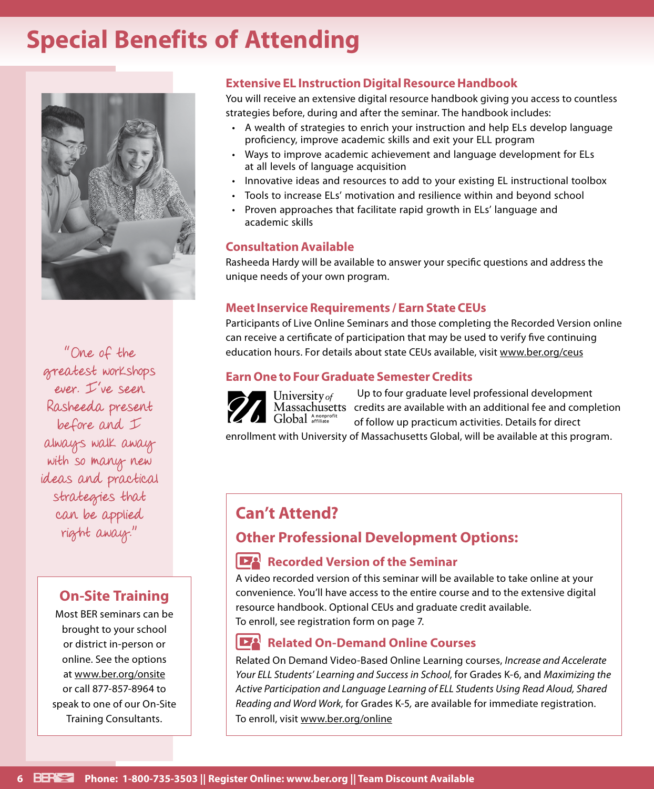## **Special Benefits of Attending**



"One of the greatest workshops ever. I've seen Rasheeda present before and I always walk away with so many new ideas and practical strategies that can be applied right away."

## **On-Site Training**

Most BER seminars can be brought to your school or district in-person or online. See the options at www.ber.org/onsite or call 877-857-8964 to speak to one of our On-Site Training Consultants.

## **Extensive EL Instruction Digital Resource Handbook**

You will receive an extensive digital resource handbook giving you access to countless strategies before, during and after the seminar. The handbook includes:

- A wealth of strategies to enrich your instruction and help ELs develop language proficiency, improve academic skills and exit your ELL program
- Ways to improve academic achievement and language development for ELs at all levels of language acquisition
- Innovative ideas and resources to add to your existing EL instructional toolbox
- Tools to increase ELs' motivation and resilience within and beyond school
- Proven approaches that facilitate rapid growth in ELs' language and academic skills

### **Consultation Available**

Rasheeda Hardy will be available to answer your specific questions and address the unique needs of your own program.

### **Meet Inservice Requirements / Earn State CEUs**

Participants of Live Online Seminars and those completing the Recorded Version online can receive a certificate of participation that may be used to verify five continuing education hours. For details about state CEUs available, visit www.ber.org/ceus

## **Earn One to Four Graduate Semester Credits**



Up to four graduate level professional development Massachusetts credits are available with an additional fee and completion of follow up practicum activities. Details for direct

enrollment with University of Massachusetts Global, will be available at this program.

## **Can't Attend?**

## **Other Professional Development Options:**

## **Recorded Version of the Seminar**

A video recorded version of this seminar will be available to take online at your convenience. You'll have access to the entire course and to the extensive digital resource handbook. Optional CEUs and graduate credit available. To enroll, see registration form on page 7.

## **Related On-Demand Online Courses**

Related On Demand Video-Based Online Learning courses, *Increase and Accelerate Your ELL Students' Learning and Success in School,* for Grades K-6, and *Maximizing the Active Participation and Language Learning of ELL Students Using Read Aloud, Shared Reading and Word Work,* for Grades K-5*,* are available for immediate registration. To enroll, visit www.ber.org/online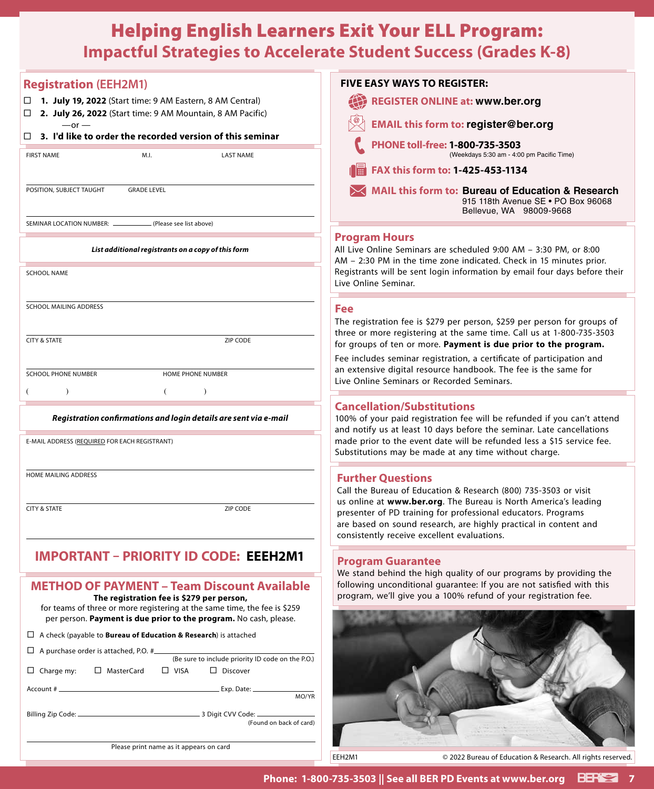## Helping English Learners Exit Your ELL Program: **Impactful Strategies to Accelerate Student Success (Grades K-8)**

| <b>Registration (EEH2M1)</b><br>$\Box$ 1. July 19, 2022 (Start time: 9 AM Eastern, 8 AM Central)<br>2. July 26, 2022 (Start time: 9 AM Mountain, 8 AM Pacific)<br>□<br>$-$ or $-$                                                                 | <b>FIVE EASY WAYS TO REGISTER:</b><br><b>REGISTER ONLINE at: www.ber.org</b><br><b>EMAIL this form to: register@ber.org</b>                                                                                                                                                                                                                                                                                                                                                                                                                                                           |
|---------------------------------------------------------------------------------------------------------------------------------------------------------------------------------------------------------------------------------------------------|---------------------------------------------------------------------------------------------------------------------------------------------------------------------------------------------------------------------------------------------------------------------------------------------------------------------------------------------------------------------------------------------------------------------------------------------------------------------------------------------------------------------------------------------------------------------------------------|
| 3. I'd like to order the recorded version of this seminar<br>□                                                                                                                                                                                    | PHONE toll-free: 1-800-735-3503                                                                                                                                                                                                                                                                                                                                                                                                                                                                                                                                                       |
| M.I.<br><b>LAST NAME</b><br><b>FIRST NAME</b>                                                                                                                                                                                                     | (Weekdays 5:30 am - 4:00 pm Pacific Time)                                                                                                                                                                                                                                                                                                                                                                                                                                                                                                                                             |
|                                                                                                                                                                                                                                                   | FAX this form to: 1-425-453-1134                                                                                                                                                                                                                                                                                                                                                                                                                                                                                                                                                      |
| POSITION, SUBJECT TAUGHT<br><b>GRADE LEVEL</b>                                                                                                                                                                                                    | <b>MAIL this form to: Bureau of Education &amp; Research</b><br>915 118th Avenue SE . PO Box 96068<br>Bellevue, WA 98009-9668                                                                                                                                                                                                                                                                                                                                                                                                                                                         |
| (Please see list above)<br>SEMINAR LOCATION NUMBER: -                                                                                                                                                                                             | <b>Program Hours</b>                                                                                                                                                                                                                                                                                                                                                                                                                                                                                                                                                                  |
| List additional registrants on a copy of this form                                                                                                                                                                                                | All Live Online Seminars are scheduled 9:00 AM - 3:30 PM, or 8:00<br>AM - 2:30 PM in the time zone indicated. Check in 15 minutes prior.<br>Registrants will be sent login information by email four days before their<br>Live Online Seminar.                                                                                                                                                                                                                                                                                                                                        |
| <b>SCHOOL NAME</b>                                                                                                                                                                                                                                |                                                                                                                                                                                                                                                                                                                                                                                                                                                                                                                                                                                       |
| SCHOOL MAILING ADDRESS<br><b>CITY &amp; STATE</b>                                                                                                                                                                                                 | Fee<br>The registration fee is \$279 per person, \$259 per person for groups of<br>three or more registering at the same time. Call us at 1-800-735-3503                                                                                                                                                                                                                                                                                                                                                                                                                              |
| ZIP CODE                                                                                                                                                                                                                                          | for groups of ten or more. Payment is due prior to the program.<br>Fee includes seminar registration, a certificate of participation and<br>an extensive digital resource handbook. The fee is the same for<br>Live Online Seminars or Recorded Seminars.<br><b>Cancellation/Substitutions</b><br>100% of your paid registration fee will be refunded if you can't attend<br>and notify us at least 10 days before the seminar. Late cancellations<br>made prior to the event date will be refunded less a \$15 service fee.<br>Substitutions may be made at any time without charge. |
| <b>SCHOOL PHONE NUMBER</b><br><b>HOME PHONE NUMBER</b><br>$\lambda$<br>$\lambda$                                                                                                                                                                  |                                                                                                                                                                                                                                                                                                                                                                                                                                                                                                                                                                                       |
| Registration confirmations and login details are sent via e-mail                                                                                                                                                                                  |                                                                                                                                                                                                                                                                                                                                                                                                                                                                                                                                                                                       |
| E-MAIL ADDRESS (REQUIRED FOR EACH REGISTRANT)                                                                                                                                                                                                     |                                                                                                                                                                                                                                                                                                                                                                                                                                                                                                                                                                                       |
| HOME MAILING ADDRESS                                                                                                                                                                                                                              | <b>Further Questions</b><br>Call the Bureau of Education & Research (800) 735-3503 or visit<br>us online at www.ber.org. The Bureau is North America's leading                                                                                                                                                                                                                                                                                                                                                                                                                        |
| <b>CITY &amp; STATE</b><br>ZIP CODE                                                                                                                                                                                                               | presenter of PD training for professional educators. Programs<br>are based on sound research, are highly practical in content and<br>consistently receive excellent evaluations.                                                                                                                                                                                                                                                                                                                                                                                                      |
| <b>IMPORTANT - PRIORITY ID CODE: EEEH2M1</b>                                                                                                                                                                                                      | <b>Program Guarantee</b><br>We stand behind the high quality of our programs by providing the                                                                                                                                                                                                                                                                                                                                                                                                                                                                                         |
| <b>METHOD OF PAYMENT - Team Discount Available</b><br>The registration fee is \$279 per person,<br>for teams of three or more registering at the same time, the fee is \$259<br>per person. Payment is due prior to the program. No cash, please. | following unconditional guarantee: If you are not satisfied with this<br>program, we'll give you a 100% refund of your registration fee.                                                                                                                                                                                                                                                                                                                                                                                                                                              |
| $\Box$ A check (payable to <b>Bureau of Education &amp; Research</b> ) is attached                                                                                                                                                                |                                                                                                                                                                                                                                                                                                                                                                                                                                                                                                                                                                                       |
| $\Box$ A purchase order is attached, P.O. $\#$ (Be sure to include priority ID code on the P.O.)                                                                                                                                                  |                                                                                                                                                                                                                                                                                                                                                                                                                                                                                                                                                                                       |
| □ MasterCard<br>$\Box$ Charge my:<br>$\Box$ VISA<br>$\Box$ Discover                                                                                                                                                                               |                                                                                                                                                                                                                                                                                                                                                                                                                                                                                                                                                                                       |
| MO/YR                                                                                                                                                                                                                                             |                                                                                                                                                                                                                                                                                                                                                                                                                                                                                                                                                                                       |
| (Found on back of card)                                                                                                                                                                                                                           |                                                                                                                                                                                                                                                                                                                                                                                                                                                                                                                                                                                       |
| Please print name as it appears on card                                                                                                                                                                                                           |                                                                                                                                                                                                                                                                                                                                                                                                                                                                                                                                                                                       |